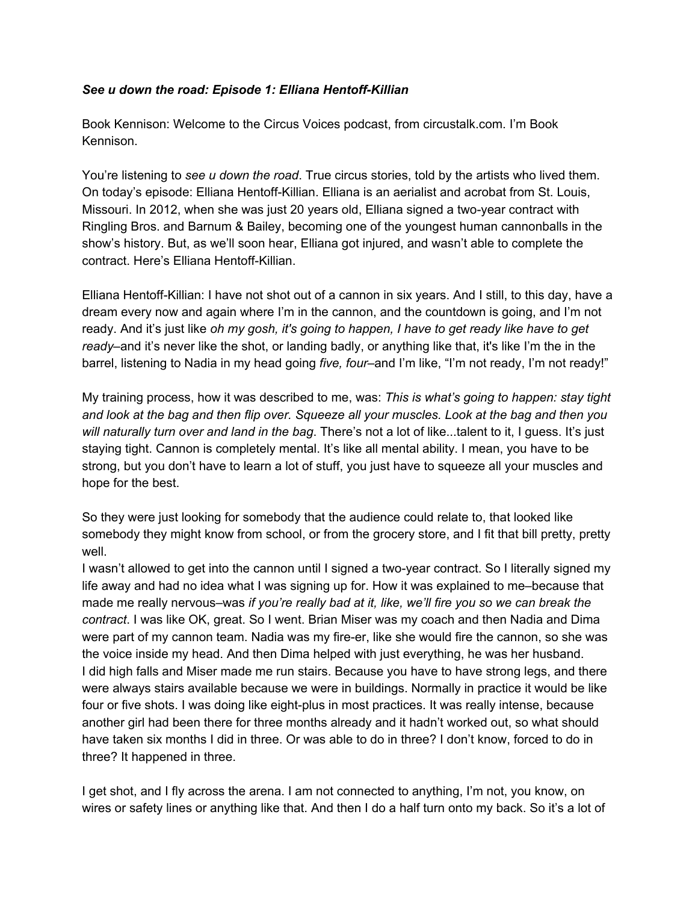## *See u down the road: Episode 1: Elliana Hentoff-Killian*

Book Kennison: Welcome to the Circus Voices podcast, from circustalk.com. I'm Book Kennison.

You're listening to *see u down the road*. True circus stories, told by the artists who lived them. On today's episode: Elliana Hentoff-Killian. Elliana is an aerialist and acrobat from St. Louis, Missouri. In 2012, when she was just 20 years old, Elliana signed a two-year contract with Ringling Bros. and Barnum & Bailey, becoming one of the youngest human cannonballs in the show's history. But, as we'll soon hear, Elliana got injured, and wasn't able to complete the contract. Here's Elliana Hentoff-Killian.

Elliana Hentoff-Killian: I have not shot out of a cannon in six years. And I still, to this day, have a dream every now and again where I'm in the cannon, and the countdown is going, and I'm not ready. And it's just like *oh my gosh, it's going to happen, I have to get ready like have to get ready*–and it's never like the shot, or landing badly, or anything like that, it's like I'm the in the barrel, listening to Nadia in my head going *five, four–*and I'm like, "I'm not ready, I'm not ready!"

My training process, how it was described to me, was: *This is what's going to happen: stay tight* and look at the bag and then flip over. Squeeze all your muscles. Look at the bag and then you *will naturally turn over and land in the bag*. There's not a lot of like...talent to it, I guess. It's just staying tight. Cannon is completely mental. It's like all mental ability. I mean, you have to be strong, but you don't have to learn a lot of stuff, you just have to squeeze all your muscles and hope for the best.

So they were just looking for somebody that the audience could relate to, that looked like somebody they might know from school, or from the grocery store, and I fit that bill pretty, pretty well.

I wasn't allowed to get into the cannon until I signed a two-year contract. So I literally signed my life away and had no idea what I was signing up for. How it was explained to me–because that made me really nervous–was *if you're really bad at it, like, we'll fire you so we can break the contract*. I was like OK, great. So I went. Brian Miser was my coach and then Nadia and Dima were part of my cannon team. Nadia was my fire-er, like she would fire the cannon, so she was the voice inside my head. And then Dima helped with just everything, he was her husband. I did high falls and Miser made me run stairs. Because you have to have strong legs, and there were always stairs available because we were in buildings. Normally in practice it would be like four or five shots. I was doing like eight-plus in most practices. It was really intense, because another girl had been there for three months already and it hadn't worked out, so what should have taken six months I did in three. Or was able to do in three? I don't know, forced to do in three? It happened in three.

I get shot, and I fly across the arena. I am not connected to anything, I'm not, you know, on wires or safety lines or anything like that. And then I do a half turn onto my back. So it's a lot of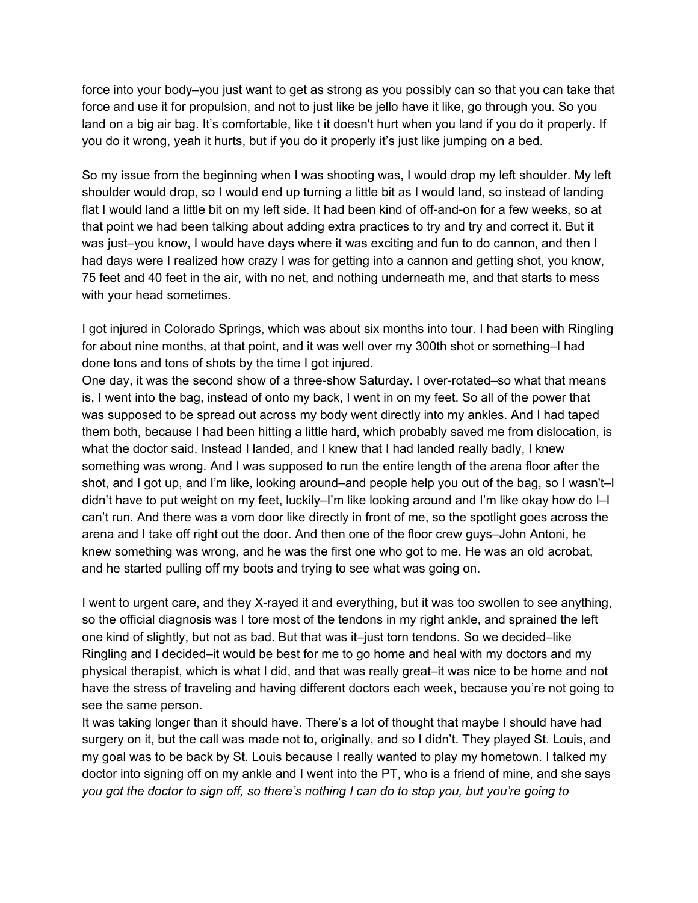force into your body–you just want to get as strong as you possibly can so that you can take that force and use it for propulsion, and not to just like be jello have it like, go through you. So you land on a big air bag. It's comfortable, like t it doesn't hurt when you land if you do it properly. If you do it wrong, yeah it hurts, but if you do it properly it's just like jumping on a bed.

So my issue from the beginning when I was shooting was, I would drop my left shoulder. My left shoulder would drop, so I would end up turning a little bit as I would land, so instead of landing flat I would land a little bit on my left side. It had been kind of off-and-on for a few weeks, so at that point we had been talking about adding extra practices to try and try and correct it. But it was just–you know, I would have days where it was exciting and fun to do cannon, and then I had days were I realized how crazy I was for getting into a cannon and getting shot, you know, 75 feet and 40 feet in the air, with no net, and nothing underneath me, and that starts to mess with your head sometimes.

I got injured in Colorado Springs, which was about six months into tour. I had been with Ringling for about nine months, at that point, and it was well over my 300th shot or something–I had done tons and tons of shots by the time I got injured.

One day, it was the second show of a three-show Saturday. I over-rotated–so what that means is, I went into the bag, instead of onto my back, I went in on my feet. So all of the power that was supposed to be spread out across my body went directly into my ankles. And I had taped them both, because I had been hitting a little hard, which probably saved me from dislocation, is what the doctor said. Instead I landed, and I knew that I had landed really badly, I knew something was wrong. And I was supposed to run the entire length of the arena floor after the shot, and I got up, and I'm like, looking around–and people help you out of the bag, so I wasn't–I didn't have to put weight on my feet, luckily–I'm like looking around and I'm like okay how do I–I can't run. And there was a vom door like directly in front of me, so the spotlight goes across the arena and I take off right out the door. And then one of the floor crew guys–John Antoni, he knew something was wrong, and he was the first one who got to me. He was an old acrobat, and he started pulling off my boots and trying to see what was going on.

I went to urgent care, and they X-rayed it and everything, but it was too swollen to see anything, so the official diagnosis was I tore most of the tendons in my right ankle, and sprained the left one kind of slightly, but not as bad. But that was it–just torn tendons. So we decided–like Ringling and I decided–it would be best for me to go home and heal with my doctors and my physical therapist, which is what I did, and that was really great–it was nice to be home and not have the stress of traveling and having different doctors each week, because you're not going to see the same person.

It was taking longer than it should have. There's a lot of thought that maybe I should have had surgery on it, but the call was made not to, originally, and so I didn't. They played St. Louis, and my goal was to be back by St. Louis because I really wanted to play my hometown. I talked my doctor into signing off on my ankle and I went into the PT, who is a friend of mine, and she says you got the doctor to sign off, so there's nothing I can do to stop you, but you're going to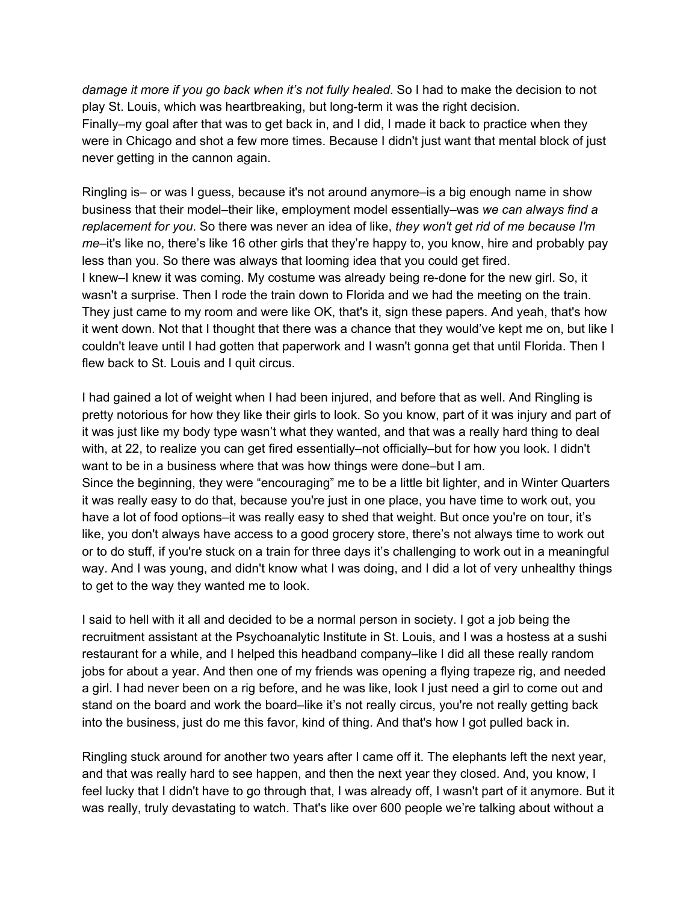*damage it more if you go back when it's not fully healed*. So I had to make the decision to not play St. Louis, which was heartbreaking, but long-term it was the right decision. Finally–my goal after that was to get back in, and I did, I made it back to practice when they were in Chicago and shot a few more times. Because I didn't just want that mental block of just never getting in the cannon again.

Ringling is– or was I guess, because it's not around anymore–is a big enough name in show business that their model–their like, employment model essentially–was *we can always find a replacement for you*. So there was never an idea of like, *they won't get rid of me because I'm me*–it's like no, there's like 16 other girls that they're happy to, you know, hire and probably pay less than you. So there was always that looming idea that you could get fired. I knew–I knew it was coming. My costume was already being re-done for the new girl. So, it wasn't a surprise. Then I rode the train down to Florida and we had the meeting on the train. They just came to my room and were like OK, that's it, sign these papers. And yeah, that's how it went down. Not that I thought that there was a chance that they would've kept me on, but like I couldn't leave until I had gotten that paperwork and I wasn't gonna get that until Florida. Then I flew back to St. Louis and I quit circus.

I had gained a lot of weight when I had been injured, and before that as well. And Ringling is pretty notorious for how they like their girls to look. So you know, part of it was injury and part of it was just like my body type wasn't what they wanted, and that was a really hard thing to deal with, at 22, to realize you can get fired essentially–not officially–but for how you look. I didn't want to be in a business where that was how things were done–but I am. Since the beginning, they were "encouraging" me to be a little bit lighter, and in Winter Quarters it was really easy to do that, because you're just in one place, you have time to work out, you have a lot of food options–it was really easy to shed that weight. But once you're on tour, it's like, you don't always have access to a good grocery store, there's not always time to work out or to do stuff, if you're stuck on a train for three days it's challenging to work out in a meaningful way. And I was young, and didn't know what I was doing, and I did a lot of very unhealthy things to get to the way they wanted me to look.

I said to hell with it all and decided to be a normal person in society. I got a job being the recruitment assistant at the Psychoanalytic Institute in St. Louis, and I was a hostess at a sushi restaurant for a while, and I helped this headband company–like I did all these really random jobs for about a year. And then one of my friends was opening a flying trapeze rig, and needed a girl. I had never been on a rig before, and he was like, look I just need a girl to come out and stand on the board and work the board–like it's not really circus, you're not really getting back into the business, just do me this favor, kind of thing. And that's how I got pulled back in.

Ringling stuck around for another two years after I came off it. The elephants left the next year, and that was really hard to see happen, and then the next year they closed. And, you know, I feel lucky that I didn't have to go through that, I was already off, I wasn't part of it anymore. But it was really, truly devastating to watch. That's like over 600 people we're talking about without a